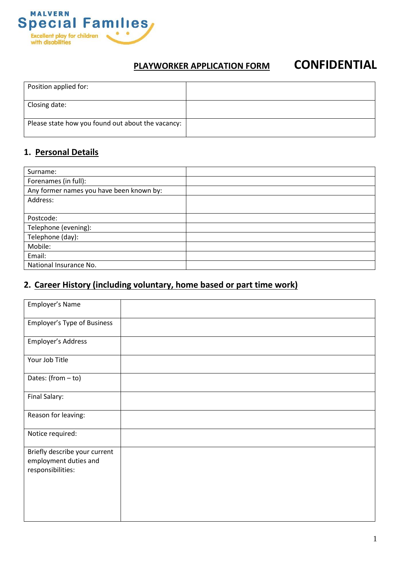

# **PLAYWORKER APPLICATION FORM CONFIDENTIAL**

| Position applied for:                             |  |
|---------------------------------------------------|--|
| Closing date:                                     |  |
| Please state how you found out about the vacancy: |  |

# **1. Personal Details**

| Surname:                                 |  |
|------------------------------------------|--|
| Forenames (in full):                     |  |
| Any former names you have been known by: |  |
| Address:                                 |  |
|                                          |  |
| Postcode:                                |  |
| Telephone (evening):                     |  |
| Telephone (day):                         |  |
| Mobile:                                  |  |
| Email:                                   |  |
| National Insurance No.                   |  |

## **2. Career History (including voluntary, home based or part time work)**

| Employer's Name                                                             |  |
|-----------------------------------------------------------------------------|--|
| <b>Employer's Type of Business</b>                                          |  |
| Employer's Address                                                          |  |
| Your Job Title                                                              |  |
| Dates: (from - to)                                                          |  |
| Final Salary:                                                               |  |
| Reason for leaving:                                                         |  |
| Notice required:                                                            |  |
| Briefly describe your current<br>employment duties and<br>responsibilities: |  |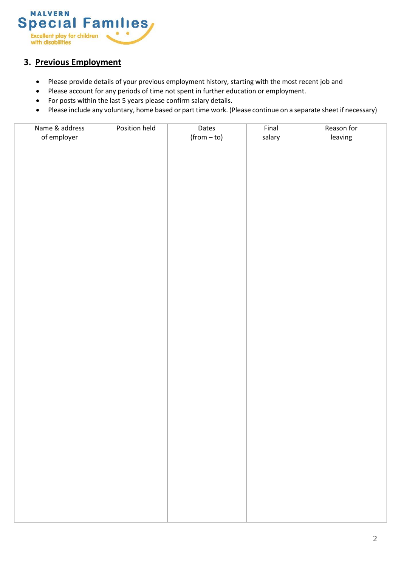

### **3. Previous Employment**

- Please provide details of your previous employment history, starting with the most recent job and
- Please account for any periods of time not spent in further education or employment.
- For posts within the last 5 years please confirm salary details.
- Please include any voluntary, home based or part time work. (Please continue on a separate sheet if necessary)

| Name & address | Position held | Dates         | Final  | Reason for |
|----------------|---------------|---------------|--------|------------|
| of employer    |               | $(from - to)$ | salary | leaving    |
|                |               |               |        |            |
|                |               |               |        |            |
|                |               |               |        |            |
|                |               |               |        |            |
|                |               |               |        |            |
|                |               |               |        |            |
|                |               |               |        |            |
|                |               |               |        |            |
|                |               |               |        |            |
|                |               |               |        |            |
|                |               |               |        |            |
|                |               |               |        |            |
|                |               |               |        |            |
|                |               |               |        |            |
|                |               |               |        |            |
|                |               |               |        |            |
|                |               |               |        |            |
|                |               |               |        |            |
|                |               |               |        |            |
|                |               |               |        |            |
|                |               |               |        |            |
|                |               |               |        |            |
|                |               |               |        |            |
|                |               |               |        |            |
|                |               |               |        |            |
|                |               |               |        |            |
|                |               |               |        |            |
|                |               |               |        |            |
|                |               |               |        |            |
|                |               |               |        |            |
|                |               |               |        |            |
|                |               |               |        |            |
|                |               |               |        |            |
|                |               |               |        |            |
|                |               |               |        |            |
|                |               |               |        |            |
|                |               |               |        |            |
|                |               |               |        |            |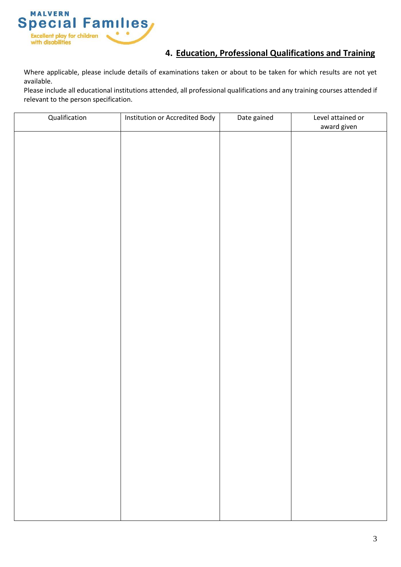

# **4. Education, Professional Qualifications and Training**

Where applicable, please include details of examinations taken or about to be taken for which results are not yet available.

Please include all educational institutions attended, all professional qualifications and any training courses attended if relevant to the person specification.

| award given |  |
|-------------|--|
|             |  |
|             |  |
|             |  |
|             |  |
|             |  |
|             |  |
|             |  |
|             |  |
|             |  |
|             |  |
|             |  |
|             |  |
|             |  |
|             |  |
|             |  |
|             |  |
|             |  |
|             |  |
|             |  |
|             |  |
|             |  |
|             |  |
|             |  |
|             |  |
|             |  |
|             |  |
|             |  |
|             |  |
|             |  |
|             |  |
|             |  |
|             |  |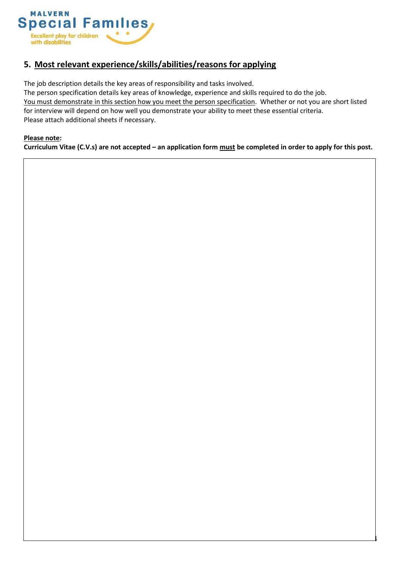

# **5. Most relevant experience/skills/abilities/reasons for applying**

The job description details the key areas of responsibility and tasks involved.

The person specification details key areas of knowledge, experience and skills required to do the job. You must demonstrate in this section how you meet the person specification. Whether or not you are short listed for interview will depend on how well you demonstrate your ability to meet these essential criteria. Please attach additional sheets if necessary.

#### **Please note:**

**Curriculum Vitae (C.V.s) are not accepted – an application form must be completed in order to apply for this post.**

4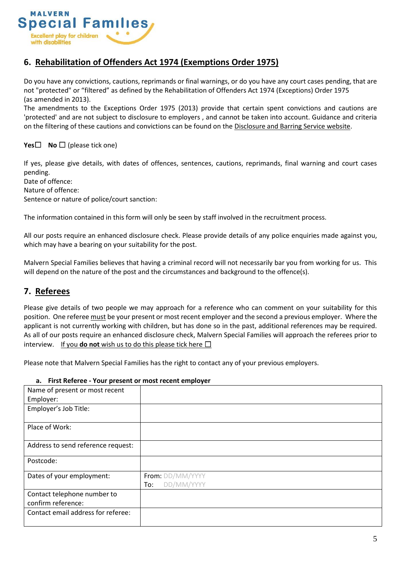

### **6. Rehabilitation of Offenders Act 1974 (Exemptions Order 1975)**

Do you have any convictions, cautions, reprimands or final warnings, or do you have any court cases pending, that are not "protected" or "filtered" as defined by the Rehabilitation of Offenders Act 1974 (Exceptions) Order 1975 (as amended in 2013).

The amendments to the Exceptions Order 1975 (2013) provide that certain spent convictions and cautions are 'protected' and are not subject to disclosure to employers , and cannot be taken into account. Guidance and criteria on the filtering of these cautions and convictions can be found on the Disclosure and Barring Service website.

#### **Yes□ No** □ (please tick one)

If yes, please give details, with dates of offences, sentences, cautions, reprimands, final warning and court cases pending.

Date of offence: Nature of offence: Sentence or nature of police/court sanction:

The information contained in this form will only be seen by staff involved in the recruitment process.

All our posts require an enhanced disclosure check. Please provide details of any police enquiries made against you, which may have a bearing on your suitability for the post.

Malvern Special Families believes that having a criminal record will not necessarily bar you from working for us. This will depend on the nature of the post and the circumstances and background to the offence(s).

### **7. Referees**

Please give details of two people we may approach for a reference who can comment on your suitability for this position. One referee must be your present or most recent employer and the second a previous employer. Where the applicant is not currently working with children, but has done so in the past, additional references may be required. As all of our posts require an enhanced disclosure check, Malvern Special Families will approach the referees prior to interview. If you **do not** wish us to do this please tick here  $\Box$ 

Please note that Malvern Special Families has the right to contact any of your previous employers.

#### **a. First Referee - Your present or most recent employer**

| Name of present or most recent     |                   |
|------------------------------------|-------------------|
| Employer:                          |                   |
| Employer's Job Title:              |                   |
|                                    |                   |
| Place of Work:                     |                   |
|                                    |                   |
| Address to send reference request: |                   |
| Postcode:                          |                   |
| Dates of your employment:          | From: DD/MM/YYYY  |
|                                    | DD/MM/YYYY<br>To: |
| Contact telephone number to        |                   |
| confirm reference:                 |                   |
| Contact email address for referee: |                   |
|                                    |                   |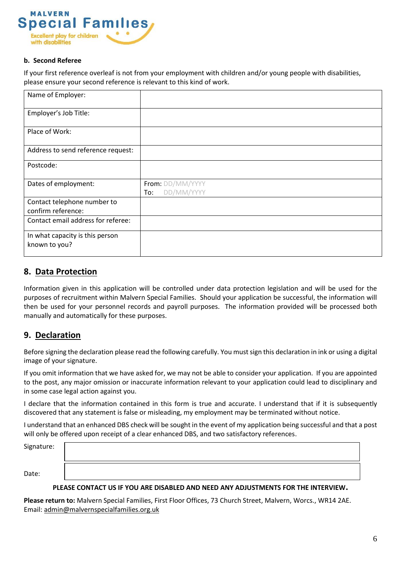

#### **b. Second Referee**

If your first reference overleaf is not from your employment with children and/or young people with disabilities, please ensure your second reference is relevant to this kind of work.

| Name of Employer:                                 |                   |
|---------------------------------------------------|-------------------|
| Employer's Job Title:                             |                   |
| Place of Work:                                    |                   |
| Address to send reference request:                |                   |
| Postcode:                                         |                   |
| Dates of employment:                              | From: DD/MM/YYYY  |
|                                                   | DD/MM/YYYY<br>To: |
| Contact telephone number to<br>confirm reference: |                   |
| Contact email address for referee:                |                   |
| In what capacity is this person<br>known to you?  |                   |

#### **8. Data Protection**

Information given in this application will be controlled under data protection legislation and will be used for the purposes of recruitment within Malvern Special Families. Should your application be successful, the information will then be used for your personnel records and payroll purposes. The information provided will be processed both manually and automatically for these purposes.

### **9. Declaration**

Before signing the declaration please read the following carefully. You must sign this declaration in ink or using a digital image of your signature.

If you omit information that we have asked for, we may not be able to consider your application. If you are appointed to the post, any major omission or inaccurate information relevant to your application could lead to disciplinary and in some case legal action against you.

I declare that the information contained in this form is true and accurate. I understand that if it is subsequently discovered that any statement is false or misleading, my employment may be terminated without notice.

I understand that an enhanced DBS check will be sought in the event of my application being successful and that a post will only be offered upon receipt of a clear enhanced DBS, and two satisfactory references.

Signature:

Date:

#### **PLEASE CONTACT US IF YOU ARE DISABLED AND NEED ANY ADJUSTMENTS FOR THE INTERVIEW.**

**Please return to:** Malvern Special Families, First Floor Offices, 73 Church Street, Malvern, Worcs., WR14 2AE. Email: [admin@malvernspecialfamilies.org.uk](mailto:admin@malvernspecialfamilies.org.uk)